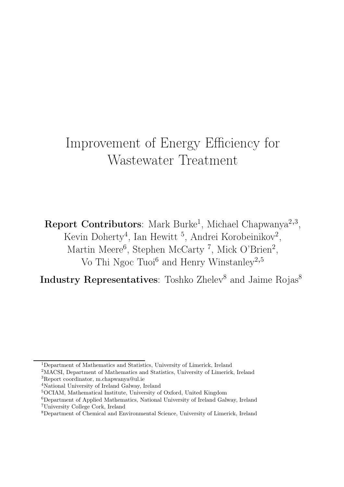# Improvement of Energy Efficiency for Wastewater Treatment

Report Contributors: Mark Burke<sup>1</sup>, Michael Chapwanya<sup>2,3</sup>, Kevin Doherty<sup>4</sup>, Ian Hewitt<sup>5</sup>, Andrei Korobeinikov<sup>2</sup>, Martin Meere<sup>6</sup>, Stephen McCarty<sup>7</sup>, Mick O'Brien<sup>2</sup>, Vo Thi Ngoc Tuoi<sup>6</sup> and Henry Winstanley<sup>2,5</sup>

Industry Representatives: Toshko Zhelev<sup>8</sup> and Jaime Rojas<sup>8</sup>

<sup>1</sup>Department of Mathematics and Statistics, University of Limerick, Ireland

<sup>2</sup>MACSI, Department of Mathematics and Statistics, University of Limerick, Ireland <sup>3</sup>Report coordinator, m.chapwanya@ul.ie

<sup>4</sup>National University of Ireland Galway, Ireland

<sup>5</sup>OCIAM, Mathematical Institute, University of Oxford, United Kingdom

<sup>6</sup>Department of Applied Mathematics, National University of Ireland Galway, Ireland <sup>7</sup>University College Cork, Ireland

<sup>8</sup>Department of Chemical and Environmental Science, University of Limerick, Ireland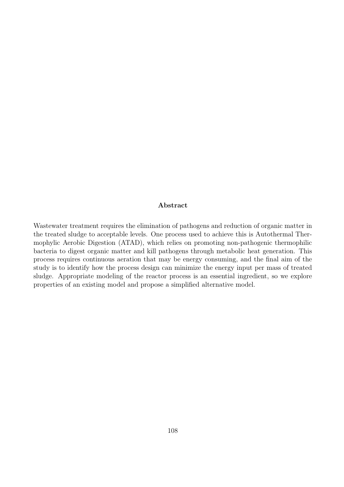#### Abstract

Wastewater treatment requires the elimination of pathogens and reduction of organic matter in the treated sludge to acceptable levels. One process used to achieve this is Autothermal Thermophylic Aerobic Digestion (ATAD), which relies on promoting non-pathogenic thermophilic bacteria to digest organic matter and kill pathogens through metabolic heat generation. This process requires continuous aeration that may be energy consuming, and the final aim of the study is to identify how the process design can minimize the energy input per mass of treated sludge. Appropriate modeling of the reactor process is an essential ingredient, so we explore properties of an existing model and propose a simplified alternative model.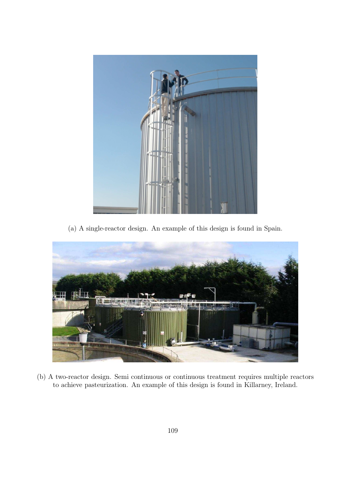

(a) A single-reactor design. An example of this design is found in Spain.



(b) A two-reactor design. Semi continuous or continuous treatment requires multiple reactors to achieve pasteurization. An example of this design is found in Killarney, Ireland.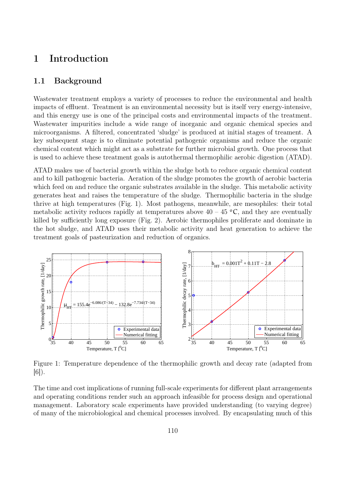## 1 Introduction

### 1.1 Background

Wastewater treatment employs a variety of processes to reduce the environmental and health impacts of effluent. Treatment is an environmental necessity but is itself very energy-intensive, and this energy use is one of the principal costs and environmental impacts of the treatment. Wastewater impurities include a wide range of inorganic and organic chemical species and microorganisms. A filtered, concentrated 'sludge' is produced at initial stages of treament. A key subsequent stage is to eliminate potential pathogenic organisms and reduce the organic chemical content which might act as a substrate for further microbial growth. One process that is used to achieve these treatment goals is autothermal thermophilic aerobic digestion (ATAD).

ATAD makes use of bacterial growth within the sludge both to reduce organic chemical content and to kill pathogenic bacteria. Aeration of the sludge promotes the growth of aerobic bacteria which feed on and reduce the organic substrates available in the sludge. This metabolic activity generates heat and raises the temperature of the sludge. Thermophilic bacteria in the sludge thrive at high temperatures (Fig. 1). Most pathogens, meanwhile, are mesophiles: their total metabolic activity reduces rapidly at temperatures above  $40 - 45$  °C, and they are eventually killed by sufficiently long exposure (Fig. 2). Aerobic thermophiles proliferate and dominate in the hot sludge, and ATAD uses their metabolic activity and heat generation to achieve the treatment goals of pasteurization and reduction of organics.



Figure 1: Temperature dependence of the thermophilic growth and decay rate (adapted from  $|6|$ ).

The time and cost implications of running full-scale experiments for different plant arrangements and operating conditions render such an approach infeasible for process design and operational management. Laboratory scale experiments have provided understanding (to varying degree) of many of the microbiological and chemical processes involved. By encapsulating much of this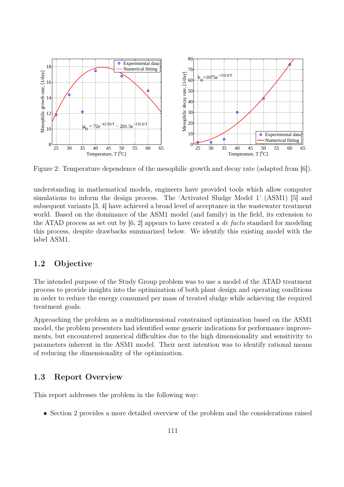

Figure 2: Temperature dependence of the mesophilic growth and decay rate (adapted from [6]).

understanding in mathematical models, engineers have provided tools which allow computer simulations to inform the design process. The 'Activated Sludge Model 1' (ASM1) [5] and subsequent variants [3, 4] have achieved a broad level of acceptance in the wastewater treatment world. Based on the dominance of the ASM1 model (and family) in the field, its extension to the ATAD process as set out by  $[6, 2]$  appears to have created a *de facto* standard for modeling this process, despite drawbacks summarized below. We identify this existing model with the label ASM1.

### 1.2 Objective

The intended purpose of the Study Group problem was to use a model of the ATAD treatment process to provide insights into the optimization of both plant design and operating conditions in order to reduce the energy consumed per mass of treated sludge while achieving the required treatment goals.

Approaching the problem as a multidimensional constrained optimization based on the ASM1 model, the problem presenters had identified some generic indications for performance improvements, but encountered numerical difficulties due to the high dimensionality and sensitivity to parameters inherent in the ASM1 model. Their next intention was to identify rational means of reducing the dimensionality of the optimization.

### 1.3 Report Overview

This report addresses the problem in the following way:

• Section 2 provides a more detailed overview of the problem and the considerations raised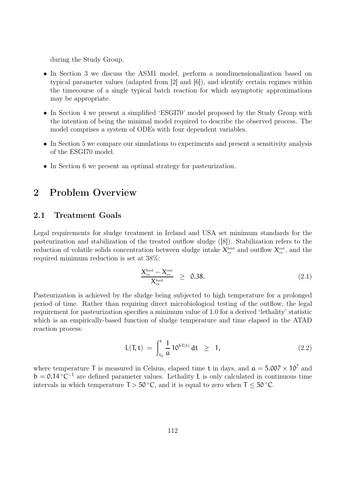during the Study Group.

- In Section 3 we discuss the ASM1 model, perform a nondimensionalization based on typical parameter values (adapted from [2] and [6]), and identify certain regimes within the timecourse of a single typical batch reaction for which asymptotic approximations may be appropriate.
- In Section 4 we present a simplified 'ESGI70' model proposed by the Study Group with the intention of being the minimal model required to describe the observed process. The model comprises a system of ODEs with four dependent variables.
- In Section 5 we compare our simulations to experiments and present a sensitivity analysis of the ESGI70 model.
- In Section 6 we present an optimal strategy for pasteurization.

### 2 Problem Overview

### 2.1 Treatment Goals

Legal requirements for sludge treatment in Ireland and USA set minimum standards for the pasteurization and stabilization of the treated outflow sludge ([8]). Stabilization refers to the reduction of volatile solids concentration between sludge intake  $X_{\tiny{\rm vs}}^{\tiny{\rm feed}}$  and outflow  $X_{\tiny{\rm vs}}^{\tiny{\rm out}}$ , and the required minimum reduction is set at 38%:

$$
\frac{X_{\rm vs}^{\rm feed} - X_{\rm vs}^{\rm out}}{X_{\rm vs}^{\rm feed}} \geq 0.38. \tag{2.1}
$$

Pasteurization is achieved by the sludge being subjected to high temperature for a prolonged period of time. Rather than requiring direct microbiological testing of the outflow, the legal requirement for pasteurization specifies a minimum value of 1.0 for a derived 'lethality' statistic which is an empirically-based function of sludge temperature and time elapsed in the ATAD reaction process:

$$
L(T, t) = \int_{t_0}^{t} \frac{1}{a} 10^{bT(t)} dt \geq 1,
$$
 (2.2)

where temperature T is measured in Celsius, elapsed time t in days, and  $a = 5.007 \times 10^7$  and  $b = 0.14 \degree C^{-1}$  are defined parameter values. Lethality L is only calculated in continuous time intervals in which temperature  $T > 50$  °C, and it is equal to zero when  $T < 50$  °C.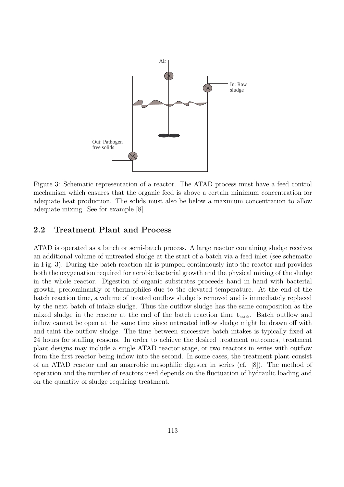

Figure 3: Schematic representation of a reactor. The ATAD process must have a feed control mechanism which ensures that the organic feed is above a certain minimum concentration for adequate heat production. The solids must also be below a maximum concentration to allow adequate mixing. See for example [8].

### 2.2 Treatment Plant and Process

ATAD is operated as a batch or semi-batch process. A large reactor containing sludge receives an additional volume of untreated sludge at the start of a batch via a feed inlet (see schematic in Fig. 3). During the batch reaction air is pumped continuously into the reactor and provides both the oxygenation required for aerobic bacterial growth and the physical mixing of the sludge in the whole reactor. Digestion of organic substrates proceeds hand in hand with bacterial growth, predominantly of thermophiles due to the elevated temperature. At the end of the batch reaction time, a volume of treated outflow sludge is removed and is immediately replaced by the next batch of intake sludge. Thus the outflow sludge has the same composition as the mixed sludge in the reactor at the end of the batch reaction time  $t_{\text{batch}}$ . Batch outflow and inflow cannot be open at the same time since untreated inflow sludge might be drawn off with and taint the outflow sludge. The time between successive batch intakes is typically fixed at 24 hours for staffing reasons. In order to achieve the desired treatment outcomes, treatment plant designs may include a single ATAD reactor stage, or two reactors in series with outflow from the first reactor being inflow into the second. In some cases, the treatment plant consist of an ATAD reactor and an anaerobic mesophilic digester in series (cf. [8]). The method of operation and the number of reactors used depends on the fluctuation of hydraulic loading and on the quantity of sludge requiring treatment.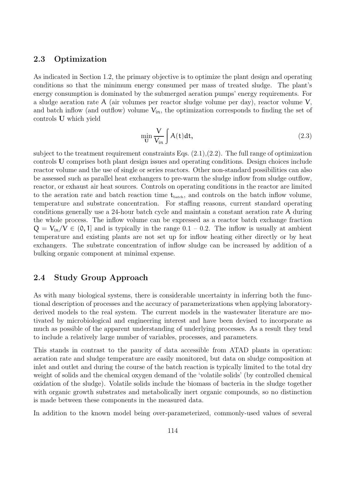### 2.3 Optimization

As indicated in Section 1.2, the primary objective is to optimize the plant design and operating conditions so that the minimum energy consumed per mass of treated sludge. The plant's energy consumption is dominated by the submerged aeration pumps' energy requirements. For a sludge aeration rate A (air volumes per reactor sludge volume per day), reactor volume V, and batch inflow (and outflow) volume  $V_{in}$ , the optimization corresponds to finding the set of controls U which yield

$$
\min_{\mathbf{U}} \frac{\mathbf{V}}{\mathbf{V}_{\text{in}}} \int \mathbf{A}(\mathbf{t}) \, \mathrm{d}\mathbf{t},\tag{2.3}
$$

subject to the treatment requirement constraints Eqs.  $(2.1), (2.2)$ . The full range of optimization controls U comprises both plant design issues and operating conditions. Design choices include reactor volume and the use of single or series reactors. Other non-standard possibilities can also be assessed such as parallel heat exchangers to pre-warm the sludge inflow from sludge outflow, reactor, or exhaust air heat sources. Controls on operating conditions in the reactor are limited to the aeration rate and batch reaction time  $t_{\text{batch}}$ , and controls on the batch inflow volume, temperature and substrate concentration. For staffing reasons, current standard operating conditions generally use a 24-hour batch cycle and maintain a constant aeration rate A during the whole process. The inflow volume can be expressed as a reactor batch exchange fraction  $Q = V_{in}/V \in (0, 1]$  and is typically in the range  $0.1 - 0.2$ . The inflow is usually at ambient temperature and existing plants are not set up for inflow heating either directly or by heat exchangers. The substrate concentration of inflow sludge can be increased by addition of a bulking organic component at minimal expense.

### 2.4 Study Group Approach

As with many biological systems, there is considerable uncertainty in inferring both the functional description of processes and the accuracy of parameterizations when applying laboratoryderived models to the real system. The current models in the wastewater literature are motivated by microbiological and engineering interest and have been devised to incorporate as much as possible of the apparent understanding of underlying processes. As a result they tend to include a relatively large number of variables, processes, and parameters.

This stands in contrast to the paucity of data accessible from ATAD plants in operation: aeration rate and sludge temperature are easily monitored, but data on sludge composition at inlet and outlet and during the course of the batch reaction is typically limited to the total dry weight of solids and the chemical oxygen demand of the 'volatile solids' (by controlled chemical oxidation of the sludge). Volatile solids include the biomass of bacteria in the sludge together with organic growth substrates and metabolically inert organic compounds, so no distinction is made between these components in the measured data.

In addition to the known model being over-parameterized, commonly-used values of several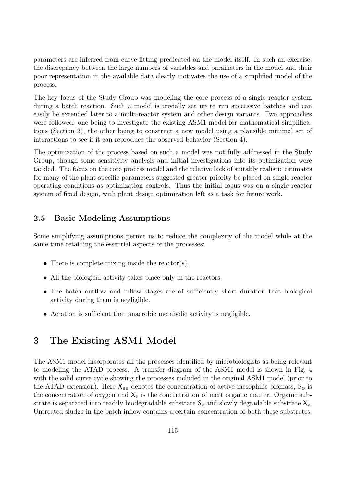parameters are inferred from curve-fitting predicated on the model itself. In such an exercise, the discrepancy between the large numbers of variables and parameters in the model and their poor representation in the available data clearly motivates the use of a simplified model of the process.

The key focus of the Study Group was modeling the core process of a single reactor system during a batch reaction. Such a model is trivially set up to run successive batches and can easily be extended later to a multi-reactor system and other design variants. Two approaches were followed: one being to investigate the existing ASM1 model for mathematical simplifications (Section 3), the other being to construct a new model using a plausible minimal set of interactions to see if it can reproduce the observed behavior (Section 4).

The optimization of the process based on such a model was not fully addressed in the Study Group, though some sensitivity analysis and initial investigations into its optimization were tackled. The focus on the core process model and the relative lack of suitably realistic estimates for many of the plant-specific parameters suggested greater priority be placed on single reactor operating conditions as optimization controls. Thus the initial focus was on a single reactor system of fixed design, with plant design optimization left as a task for future work.

### 2.5 Basic Modeling Assumptions

Some simplifying assumptions permit us to reduce the complexity of the model while at the same time retaining the essential aspects of the processes:

- There is complete mixing inside the reactor(s).
- All the biological activity takes place only in the reactors.
- The batch outflow and inflow stages are of sufficiently short duration that biological activity during them is negligible.
- Aeration is sufficient that anaerobic metabolic activity is negligible.

## 3 The Existing ASM1 Model

The ASM1 model incorporates all the processes identified by microbiologists as being relevant to modeling the ATAD process. A transfer diagram of the ASM1 model is shown in Fig. 4 with the solid curve cycle showing the processes included in the original ASM1 model (prior to the ATAD extension). Here  $X_{BH}$  denotes the concentration of active mesophilic biomass,  $S_{\text{o}}$  is the concentration of oxygen and  $X_P$  is the concentration of inert organic matter. Organic substrate is separated into readily biodegradable substrate  $S_s$  and slowly degradable substrate  $X_s$ . Untreated sludge in the batch inflow contains a certain concentration of both these substrates.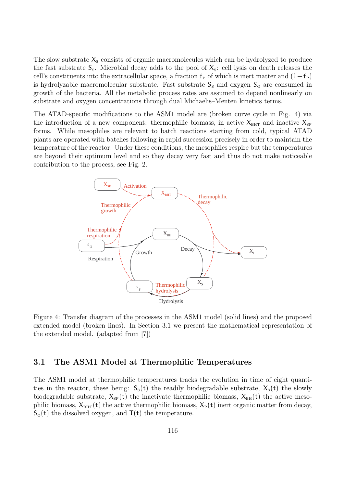The slow substrate  $X<sub>s</sub>$  consists of organic macromolecules which can be hydrolyzed to produce the fast substrate  $S_s$ . Microbial decay adds to the pool of  $X_s$ : cell lysis on death releases the cell's constituents into the extracellular space, a fraction  $f_P$  of which is inert matter and  $(1-f_P)$ is hydrolyzable macromolecular substrate. Fast substrate  $S_s$  and oxygen  $S_o$  are consumed in growth of the bacteria. All the metabolic process rates are assumed to depend nonlinearly on substrate and oxygen concentrations through dual Michaelis–Menten kinetics terms.

The ATAD-specific modifications to the ASM1 model are (broken curve cycle in Fig. 4) via the introduction of a new component: thermophilic biomass, in active  $X_{\text{BHT}}$  and inactive  $X_{\text{SP}}$ forms. While mesophiles are relevant to batch reactions starting from cold, typical ATAD plants are operated with batches following in rapid succession precisely in order to maintain the temperature of the reactor. Under these conditions, the mesophiles respire but the temperatures are beyond their optimum level and so they decay very fast and thus do not make noticeable contribution to the process, see Fig. 2.



Figure 4: Transfer diagram of the processes in the ASM1 model (solid lines) and the proposed extended model (broken lines). In Section 3.1 we present the mathematical representation of the extended model. (adapted from [7])

### 3.1 The ASM1 Model at Thermophilic Temperatures

The ASM1 model at thermophilic temperatures tracks the evolution in time of eight quantities in the reactor, these being:  $S_s(t)$  the readily biodegradable substrate,  $X_s(t)$  the slowly biodegradable substrate,  $X_{SP}(t)$  the inactivate thermophilic biomass,  $X_{BH}(t)$  the active mesophilic biomass,  $X_{\text{BHT}}(t)$  the active thermophilic biomass,  $X_{\text{P}}(t)$  inert organic matter from decay,  $S_{\text{o}}(t)$  the dissolved oxygen, and  $T(t)$  the temperature.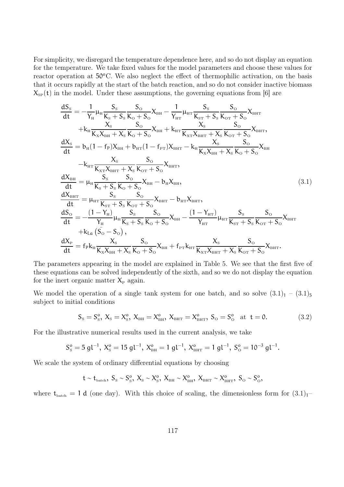For simplicity, we disregard the temperature dependence here, and so do not display an equation for the temperature. We take fixed values for the model parameters and choose these values for reactor operation at  $50^{\circ}$ C. We also neglect the effect of thermophilic activation, on the basis that it occurs rapidly at the start of the batch reaction, and so do not consider inactive biomass  $X_{SP}(t)$  in the model. Under these assumptions, the governing equations from [6] are

$$
\begin{split}\n\frac{dS_{s}}{dt} &= -\frac{1}{Y_{H}}\mu_{H}\frac{S_{s}}{K_{s}+S_{s}}\frac{S_{o}}{K_{o}+S_{o}}X_{BH} - \frac{1}{Y_{HT}}\mu_{HT}\frac{S_{s}}{K_{ST}+S_{s}}\frac{S_{o}}{K_{oT}+S_{o}}X_{BHT} \\
&+ k_{H}\frac{X_{s}}{K_{x}X_{BH}+X_{s}}\frac{S_{o}}{K_{o}+S_{o}}X_{BH} + k_{HT}\frac{X_{s}}{K_{x}X_{BH}+X_{s}}\frac{S_{o}}{K_{oT}+S_{o}}X_{BH}, \\
\frac{dX_{s}}{dt} &= b_{H}(1-f_{P})X_{BH} + b_{HT}(1-f_{PT})X_{BHT} - k_{H}\frac{X_{s}}{K_{x}X_{BH}+X_{s}}\frac{S_{o}}{K_{o}+S_{o}}X_{BH} \\
&- k_{HT}\frac{X_{s}}{K_{xr}X_{BHT}+X_{s}}\frac{S_{o}}{K_{oT}+S_{o}}X_{BHT}, \\
\frac{dX_{BH}}{dt} &= \mu_{H}\frac{S_{s}}{K_{s}+S_{s}}\frac{S_{o}}{K_{o}+S_{o}}X_{BH} - b_{H}X_{BH}, \\
\frac{dX_{BHT}}{dt} &= \mu_{HT}\frac{S_{s}}{K_{sr}+S_{s}}\frac{S_{o}}{K_{oT}+S_{o}}X_{BHT} - b_{HT}X_{BHT}, \\
\frac{dS_{o}}{dt} &= -\frac{(1-Y_{H})}{Y_{H}}\mu_{H}\frac{S_{s}}{K_{s}+S_{s}}\frac{S_{o}}{K_{o}+S_{o}}X_{BH} - \frac{(1-Y_{HT})}{Y_{HT}}\mu_{HT}\frac{S_{s}}{K_{sr}+S_{s}}\frac{S_{o}}{K_{oT}+S_{o}}X_{BHT} \\
&+ k_{La}(\overline{S_{o}-S_{o}}), \\
\frac{dX_{P}}{dt} &= f_{P}k_{H}\frac{X_{s}}{K_{x}X_{BH}+X_{s}}\frac{S_{o}}{K_{o}+S_{o}}X_{BH} + f_{PT}k_{HT}\frac{X_{sr}}{K_{xT}X_{BH}+X_{s}}\frac{S_{o}}{K_{oT
$$

The parameters appearing in the model are explained in Table 5. We see that the first five of these equations can be solved independently of the sixth, and so we do not display the equation for the inert organic matter  $X_P$  again.

We model the operation of a single tank system for one batch, and so solve  $(3.1)<sub>1</sub> - (3.1)<sub>5</sub>$ subject to initial conditions

$$
S_{\rm s} = S_{\rm s}^{\rm o}, \ X_{\rm s} = X_{\rm s}^{\rm o}, \ X_{\rm bH} = X_{\rm bH}^{\rm o}, \ X_{\rm bHT} = X_{\rm bHT}^{\rm o}, \ S_{\rm o} = S_{\rm o}^{\rm o} \quad \text{at } t = 0. \tag{3.2}
$$

For the illustrative numerical results used in the current analysis, we take

$$
S_{\rm s}^{\rm o}=5~{\rm gl}^{-1},~X_{\rm s}^{\rm o}=15~{\rm gl}^{-1},~X_{\rm {\rm BH}}^{\rm o}=1~{\rm gl}^{-1},~X_{\rm {\rm {\rm BHT}}}^{\rm o}=1~{\rm gl}^{-1},~S_{\rm \rm o}^{\rm o}=10^{-3}~{\rm gl}^{-1}.
$$

We scale the system of ordinary differential equations by choosing

$$
t \sim t_{\rm batch}, \ S_{\rm S} \sim S_{\rm S}^o, \ X_{\rm S} \sim X_{\rm S}^o, \ X_{\rm BH} \sim X_{\rm BH}^o, \ X_{\rm BHT} \sim X_{\rm BHT}^o, \ S_{\rm O} \sim S_{\rm O}^o,
$$

where  $t_{\text{batch}} = 1$  d (one day). With this choice of scaling, the dimensionless form for  $(3.1)<sub>1</sub>$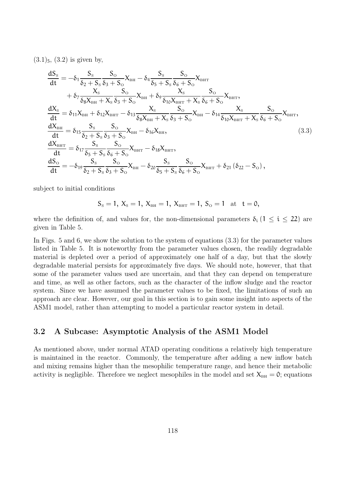$(3.1)_5$ ,  $(3.2)$  is given by,

$$
\begin{split}\n\frac{dS_{s}}{dt} &= -\delta_{1} \frac{S_{s}}{\delta_{2} + S_{s}} \frac{S_{o}}{\delta_{3} + S_{o}} X_{\text{BH}} - \delta_{4} \frac{S_{s}}{\delta_{5} + S_{s}} \frac{S_{o}}{\delta_{6} + S_{o}} X_{\text{BHT}} \\
&+ \delta_{7} \frac{X_{s}}{\delta_{8} X_{\text{BH}} + X_{s}} \frac{S_{o}}{\delta_{3} + S_{o}} X_{\text{BH}} + \delta_{9} \frac{X_{s}}{\delta_{10} X_{\text{BHT}} + X_{s}} \frac{S_{o}}{\delta_{6} + S_{o}} X_{\text{BHT}}, \\
\frac{dX_{s}}{dt} &= \delta_{11} X_{\text{BH}} + \delta_{12} X_{\text{BHT}} - \delta_{13} \frac{X_{s}}{\delta_{8} X_{\text{BH}} + X_{s}} \frac{S_{o}}{\delta_{3} + S_{o}} X_{\text{BH}} - \delta_{14} \frac{X_{s}}{\delta_{10} X_{\text{BHT}} + X_{s}} \frac{S_{o}}{\delta_{6} + S_{o}} X_{\text{BHT}}, \\
\frac{dX_{\text{BH}}}{dt} &= \delta_{15} \frac{S_{s}}{\delta_{2} + S_{s}} \frac{S_{o}}{\delta_{3} + S_{o}} X_{\text{BH}} - \delta_{16} X_{\text{BH}}, \\
\frac{dX_{\text{BHT}}}{dt} &= \delta_{17} \frac{S_{s}}{\delta_{5} + S_{s}} \frac{S_{o}}{\delta_{6} + S_{o}} X_{\text{BHT}} - \delta_{18} X_{\text{BHT}}, \\
\frac{dS_{o}}{dt} &= -\delta_{19} \frac{S_{s}}{\delta_{2} + S_{s}} \frac{S_{o}}{\delta_{3} + S_{o}} X_{\text{BH}} - \delta_{20} \frac{S_{s}}{\delta_{5} + S_{s}} \frac{S_{o}}{\delta_{6} + S_{o}} X_{\text{BHT}} + \delta_{21} (\delta_{22} - S_{o}),\n\end{split} \tag{3.3}
$$

subject to initial conditions

$$
S_{\rm s} = 1
$$
,  $X_{\rm s} = 1$ ,  $X_{\rm BH} = 1$ ,  $X_{\rm BHT} = 1$ ,  $S_{\rm o} = 1$  at  $t = 0$ ,

where the definition of, and values for, the non-dimensional parameters  $\delta_i$  (1  $\leq$  i  $\leq$  22) are given in Table 5.

In Figs. 5 and 6, we show the solution to the system of equations (3.3) for the parameter values listed in Table 5. It is noteworthy from the parameter values chosen, the readily degradable material is depleted over a period of approximately one half of a day, but that the slowly degradable material persists for approximately five days. We should note, however, that that some of the parameter values used are uncertain, and that they can depend on temperature and time, as well as other factors, such as the character of the inflow sludge and the reactor system. Since we have assumed the parameter values to be fixed, the limitations of such an approach are clear. However, our goal in this section is to gain some insight into aspects of the ASM1 model, rather than attempting to model a particular reactor system in detail.

### 3.2 A Subcase: Asymptotic Analysis of the ASM1 Model

As mentioned above, under normal ATAD operating conditions a relatively high temperature is maintained in the reactor. Commonly, the temperature after adding a new inflow batch and mixing remains higher than the mesophilic temperature range, and hence their metabolic activity is negligible. Therefore we neglect mesophiles in the model and set  $X_{BH} = 0$ ; equations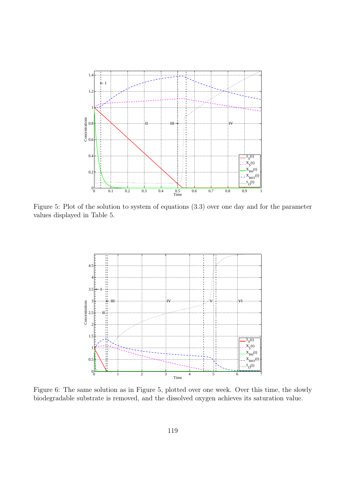

Figure 5: Plot of the solution to system of equations (3.3) over one day and for the parameter values displayed in Table 5.



Figure 6: The same solution as in Figure 5, plotted over one week. Over this time, the slowly biodegradable substrate is removed, and the dissolved oxygen achieves its saturation value.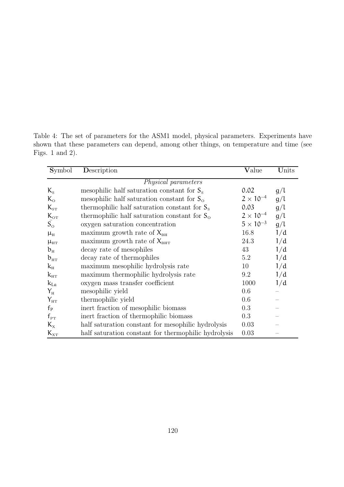| <b>Symbol</b>                      | Description                                            | Value              | Units |  |  |  |
|------------------------------------|--------------------------------------------------------|--------------------|-------|--|--|--|
| Physical parameters                |                                                        |                    |       |  |  |  |
| $K_{\rm s}$                        | mesophilic half saturation constant for $S_s$          | 0.02               | g/l   |  |  |  |
| $K_{\rm o}$                        | mesophilic half saturation constant for $S_{\Omega}$   | $2 \times 10^{-4}$ | g/l   |  |  |  |
| $K_{\rm ST}$                       | thermophilic half saturation constant for $S_s$        | 0.03               | g/l   |  |  |  |
| $K_{\text{OT}}$                    | thermophilic half saturation constant for $S_{\Omega}$ | $2 \times 10^{-4}$ | g/l   |  |  |  |
| $S_{\rm O}$                        | oxygen saturation concentration                        | $5 \times 10^{-3}$ | g/l   |  |  |  |
| $\mu_{\rm H}$                      | maximum growth rate of $X_{\text{BH}}$                 | 16.8               | 1/d   |  |  |  |
| $\mu_{\scriptscriptstyle HT}$      | maximum growth rate of $X_{\text{BHT}}$                | 24.3               | 1/d   |  |  |  |
| $b_{\rm H}$                        | decay rate of mesophiles                               | 43                 | 1/d   |  |  |  |
| $b_{\text{HT}}$                    | decay rate of thermophiles                             | 5.2                | 1/d   |  |  |  |
| $k_{\rm H}$                        | maximum mesophilic hydrolysis rate                     | 10                 | 1/d   |  |  |  |
| $k_{\scriptscriptstyle\rm HT}$     | maximum thermophilic hydrolysis rate                   | 9.2                | 1/d   |  |  |  |
| $k_{La}$                           | oxygen mass transfer coefficient                       | 1000               | 1/d   |  |  |  |
| $Y_{H}$                            | mesophilic yield                                       | 0.6                |       |  |  |  |
| $Y_{\text{HT}}$                    | thermophilic yield                                     | 0.6                |       |  |  |  |
| $f_{\rm p}$                        | inert fraction of mesophilic biomass                   | 0.3                |       |  |  |  |
| $f_{\rm PT}$                       | inert fraction of thermophilic biomass                 | 0.3                |       |  |  |  |
| $K_{\rm x}$                        | half saturation constant for mesophilic hydrolysis     | 0.03               |       |  |  |  |
| $\rm K_{\rm\scriptscriptstyle XT}$ | half saturation constant for thermophilic hydrolysis   | 0.03               |       |  |  |  |

Table 4: The set of parameters for the ASM1 model, physical parameters. Experiments have shown that these parameters can depend, among other things, on temperature and time (see Figs. 1 and 2).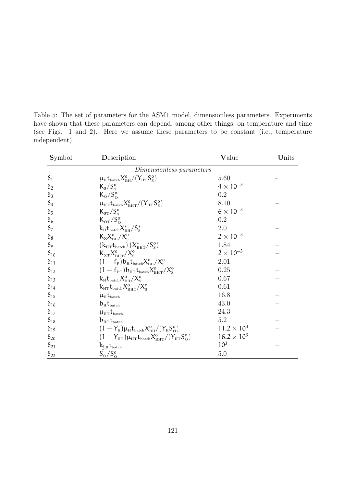Table 5: The set of parameters for the ASM1 model, dimensionless parameters. Experiments have shown that these parameters can depend, among other things, on temperature and time (see Figs. 1 and 2). Here we assume these parameters to be constant (i.e., temperature independent).

| $Symb$ <sub>ol</sub> | Description                                                                                                                | <b>V</b> alue        | Units |  |
|----------------------|----------------------------------------------------------------------------------------------------------------------------|----------------------|-------|--|
|                      | Dimensionless parameters                                                                                                   |                      |       |  |
| $\delta_1$           | $\mu_{\rm H} t_{\rm batch} X_{\rm BH}^{\rm o}/(Y_{\rm HT} S_{\rm S}^{\rm o})$                                              | 5.60                 |       |  |
| $\delta_2$           | $K_{\rm s}/S_{\rm s}^{\rm o}$                                                                                              | $4 \times 10^{-3}$   |       |  |
| $\delta_3$           | $K_{\rm o}/S_{\rm o}^{\rm o}$                                                                                              | 0.2                  |       |  |
| $\delta_4$           | $\mu_{\text{HT}} t_{\text{batch}} X_{\text{BHT}}^{\text{o}} / (Y_{\text{HT}} S_{\text{s}}^{\text{o}})$                     | 8.10                 |       |  |
| $\delta_5$           | $K_{ST}/S_{S}^{o}$                                                                                                         | $6 \times 10^{-3}$   |       |  |
| $\delta_6$           | $K_{\text{OT}}/S_{\Omega}^{\text{o}}$                                                                                      | $0.2\,$              |       |  |
| $\delta_7$           | $k_H t_{\text{batch}} X_{\text{BH}}^*/S_{\text{S}}^*$                                                                      | 2.0                  |       |  |
| $\delta_8$           | $K_{\rm x} X_{\rm BH}^{\rm o}/X_{\rm s}^{\rm o}$                                                                           | $2 \times 10^{-3}$   |       |  |
| $\delta$ 9           | $(k_{\text{HT}}t_{\text{batch}})(X_{\text{BHT}}^*/S_{\text{S}}^o)$                                                         | 1.84                 |       |  |
| $\delta_{10}$        | $K_{\text{XT}} X_{\text{BHT}}^0 / X_{\text{s}}^0$                                                                          | $2 \times 10^{-3}$   |       |  |
| $\delta_{11}$        | $(1-f_{\rm P})b_{\rm H}t_{\rm batch}X_{\rm BH}^{\rm o}/X_{\rm S}^{\rm o}$                                                  | 2.01                 |       |  |
| $\delta_{12}$        | $(1-f_{PT})b_{HT}t_{batch}X_{BHT}^0/X_{S}^0$                                                                               | 0.25                 |       |  |
| $\delta_{13}$        | $\rm k_H t_{batch} X_{BH}^o/X_{S}^o$                                                                                       | 0.67                 |       |  |
| $\delta_{14}$        | $\rm k_{\rm HT} t_{\rm batch} X_{\rm BHT}^{o}/X_{\rm S}^{o}$                                                               | 0.61                 |       |  |
| $\delta_{15}$        | $\mu_{\rm H} t_{\rm batch}$                                                                                                | 16.8                 |       |  |
| $\delta_{16}$        | $b_{\text{H}}t_{\text{batch}}$                                                                                             | 43.0                 |       |  |
| $\delta_{17}$        | $\mu_{\text{HT}}t_{\text{batch}}$                                                                                          | 24.3                 |       |  |
| $\delta_{18}$        | $\rm b_{\rm HT} t_{\rm batch}$                                                                                             | 5.2                  |       |  |
| $\delta_{19}$        | $(1 - Y_{\rm H})\mu_{\rm H}t_{\rm batch}X_{\rm BH}^{\rm o}/(Y_{\rm H}S_{\rm O}^{\rm o})$                                   | $11.2 \times 10^{3}$ |       |  |
| $\delta_{20}$        | $(1 - Y_{\text{HT}}) \mu_{\text{HT}} t_{\text{batch}} X_{\text{BHT}}^{\text{o}} / (Y_{\text{HT}} S_{\text{O}}^{\text{o}})$ | $16.2 \times 10^{3}$ |       |  |
| $\delta_{21}$        | $k_{La}t_{batch}$                                                                                                          | 10 <sup>3</sup>      |       |  |
| $\delta_{22}$        | $S_{\rm O}/S_{\rm O}^{\rm o}$                                                                                              | $5.0\,$              |       |  |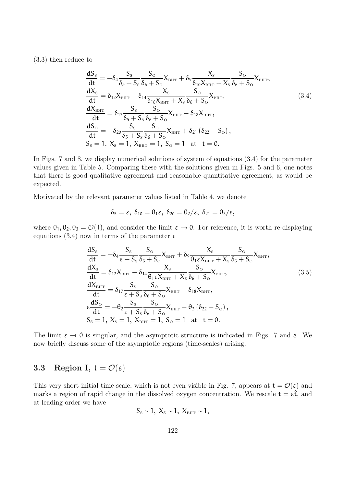(3.3) then reduce to

$$
\begin{split}\n\frac{dS_{s}}{dt} &= -\delta_{4} \frac{S_{s}}{\delta_{5} + S_{s}} \frac{S_{o}}{\delta_{6} + S_{o}} X_{\text{bHT}} + \delta_{9} \frac{X_{s}}{\delta_{10} X_{\text{bHT}} + X_{s}} \frac{S_{o}}{\delta_{6} + S_{o}} X_{\text{bHT}}, \\
\frac{dX_{s}}{dt} &= \delta_{12} X_{\text{bHT}} - \delta_{14} \frac{X_{s}}{\delta_{10} X_{\text{bHT}} + X_{s}} \frac{S_{o}}{\delta_{6} + S_{o}} X_{\text{bHT}}, \\
\frac{dX_{\text{bHT}}}{dt} &= \delta_{17} \frac{S_{s}}{\delta_{5} + S_{s}} \frac{S_{o}}{\delta_{6} + S_{o}} X_{\text{bHT}} - \delta_{18} X_{\text{bHT}}, \\
\frac{dS_{o}}{dt} &= -\delta_{20} \frac{S_{s}}{\delta_{5} + S_{s}} \frac{S_{o}}{\delta_{6} + S_{o}} X_{\text{bHT}} + \delta_{21} (\delta_{22} - S_{o}), \\
S_{s} &= 1, X_{s} = 1, X_{\text{bHT}} = 1, S_{o} = 1 \quad \text{at } t = 0.\n\end{split}
$$
\n(3.4)

In Figs. 7 and 8, we display numerical solutions of system of equations (3.4) for the parameter values given in Table 5. Comparing these with the solutions given in Figs. 5 and 6, one notes that there is good qualitative agreement and reasonable quantitative agreement, as would be expected.

Motivated by the relevant parameter values listed in Table 4, we denote

$$
\delta_5=\epsilon, \; \delta_{10}=\theta_1\epsilon, \; \delta_{20}=\theta_2/\epsilon, \; \delta_{21}=\theta_3/\epsilon,
$$

where  $\theta_1, \theta_2, \theta_3 = \mathcal{O}(1)$ , and consider the limit  $\varepsilon \to 0$ . For reference, it is worth re-displaying equations (3.4) now in terms of the parameter  $\varepsilon$ 

$$
\begin{split}\n\frac{dS_{s}}{dt} &= -\delta_{4} \frac{S_{s}}{\epsilon + S_{s}} \frac{S_{\text{o}}}{\delta_{6} + S_{\text{o}}} X_{\text{BHT}} + \delta_{9} \frac{X_{s}}{\theta_{1} \epsilon X_{\text{BHT}} + X_{s}} \frac{S_{\text{o}}}{\delta_{6} + S_{\text{o}}} X_{\text{BHT}}, \\
\frac{dX_{s}}{dt} &= \delta_{12} X_{\text{BHT}} - \delta_{14} \frac{X_{s}}{\theta_{1} \epsilon X_{\text{BHT}} + X_{s}} \frac{S_{\text{o}}}{\delta_{6} + S_{\text{o}}} X_{\text{BHT}}, \\
\frac{dX_{\text{BHT}}}{dt} &= \delta_{17} \frac{S_{s}}{\epsilon + S_{s}} \frac{S_{\text{o}}}{\delta_{6} + S_{\text{o}}} X_{\text{BHT}} - \delta_{18} X_{\text{BHT}}, \\
\epsilon \frac{dS_{\text{o}}}{dt} &= -\theta_{2} \frac{S_{s}}{\epsilon + S_{s}} \frac{S_{\text{o}}}{\delta_{6} + S_{\text{o}}} X_{\text{BHT}} + \theta_{3} (\delta_{22} - S_{\text{o}}), \\
S_{s} &= 1, X_{s} = 1, X_{\text{BHT}} = 1, S_{\text{o}} = 1 \text{ at } t = 0.\n\end{split}
$$
\n(3.5)

The limit  $\varepsilon \to 0$  is singular, and the asymptotic structure is indicated in Figs. 7 and 8. We now briefly discuss some of the asymptotic regions (time-scales) arising.

### 3.3 Region I,  $t = \mathcal{O}(\varepsilon)$

This very short initial time-scale, which is not even visible in Fig. 7, appears at  $t = \mathcal{O}(\varepsilon)$  and marks a region of rapid change in the dissolved oxygen concentration. We rescale  $t = \varepsilon \hat{t}$ , and at leading order we have

$$
S_{\rm s}\sim 1,~X_{\rm s}\sim 1,~X_{\rm bHT}\sim 1,
$$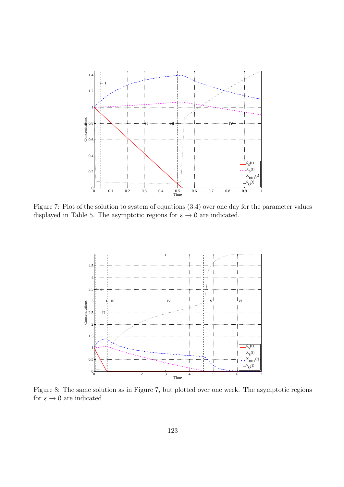

Figure 7: Plot of the solution to system of equations (3.4) over one day for the parameter values displayed in Table 5. The asymptotic regions for  $\varepsilon \to 0$  are indicated.



Figure 8: The same solution as in Figure 7, but plotted over one week. The asymptotic regions for  $\varepsilon \to 0$  are indicated.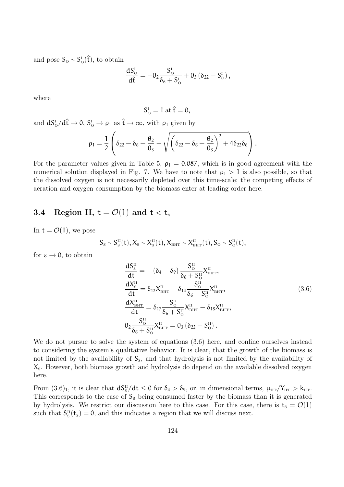and pose  $S_{\text{o}} \sim S_{\text{o}}^{\text{I}}(\hat{\mathbf{t}})$ , to obtain

$$
\frac{\mathrm{d}S_{\mathrm{o}}^{\mathrm{I}}}{\mathrm{d}\hat{\mathrm{t}}}=-\theta_2\frac{S_{\mathrm{o}}^{\mathrm{I}}}{\delta_6+S_{\mathrm{o}}^{\mathrm{I}}}+\theta_3\left(\delta_{22}-S_{\mathrm{o}}^{\mathrm{I}}\right),
$$

where

$$
S_{\mathrm{o}}^{\mathrm{I}}=1\ \mathrm{at}\ \hat{t}=0,
$$

and  $dS_0^I/d\hat{t} \to 0$ ,  $S_0^I \to \rho_1$  as  $\hat{t} \to \infty$ , with  $\rho_1$  given by

$$
\rho_1=\frac{1}{2}\left(\delta_{22}-\delta_6-\frac{\theta_2}{\theta_3}+\sqrt{\left(\delta_{22}-\delta_6-\frac{\theta_2}{\theta_3}\right)^2+4\delta_{22}\delta_6}\right).
$$

For the parameter values given in Table 5,  $\rho_1 = 0.087$ , which is in good agreement with the numerical solution displayed in Fig. 7. We have to note that  $\rho_1 > 1$  is also possible, so that the dissolved oxygen is not necessarily depleted over this time-scale; the competing effects of aeration and oxygen consumption by the biomass enter at leading order here.

### 3.4 Region II,  $t = \mathcal{O}(1)$  and  $t < t_s$

In  $t = \mathcal{O}(1)$ , we pose

$$
S_{\scriptscriptstyle{\mathrm{S}}} \sim S_{\scriptscriptstyle{\mathrm{S}}}^{\scriptscriptstyle{\mathrm{II}}}(t), X_{\scriptscriptstyle{\mathrm{S}}} \sim X_{\scriptscriptstyle{\mathrm{S}}}^{\scriptscriptstyle{\mathrm{II}}}(t), X_{\scriptscriptstyle{\mathrm{BHT}}}\sim X_{\scriptscriptstyle{\mathrm{BHT}}}^{\scriptscriptstyle{\mathrm{II}}}(t), S_{\scriptscriptstyle{\mathrm{O}}} \sim S_{\scriptscriptstyle{\mathrm{O}}}^{\scriptscriptstyle{\mathrm{II}}}(t),
$$

for  $\varepsilon \to 0$ , to obtain

$$
\frac{dS_{s}^{II}}{dt} = -(\delta_{4} - \delta_{9}) \frac{S_{0}^{II}}{\delta_{6} + S_{0}^{II}} X_{\text{BHT}}^{II}, \n\frac{dX_{s}^{II}}{dt} = \delta_{12} X_{\text{BHT}}^{II} - \delta_{14} \frac{S_{0}^{II}}{\delta_{6} + S_{0}^{II}} X_{\text{BHT}}^{II}, \n\frac{dX_{\text{BHT}}^{II}}{dt} = \delta_{17} \frac{S_{0}^{II}}{\delta_{6} + S_{0}^{II}} X_{\text{BHT}}^{II} - \delta_{18} X_{\text{BHT}}^{II}, \n\theta_{2} \frac{S_{0}^{II}}{\delta_{6} + S_{0}^{II}} X_{\text{BHT}}^{II} = \theta_{3} (\delta_{22} - S_{0}^{II}).
$$
\n(3.6)

We do not pursue to solve the system of equations  $(3.6)$  here, and confine ourselves instead to considering the system's qualitative behavior. It is clear, that the growth of the biomass is not limited by the availability of  $S_s$ , and that hydrolysis is not limited by the availability of  $X<sub>s</sub>$ . However, both biomass growth and hydrolysis do depend on the available dissolved oxygen here.

From  $(3.6)_1$ , it is clear that  $dS^{\text{II}}_S/dt \leq 0$  for  $\delta_4 > \delta_2$ , or, in dimensional terms,  $\mu_{\text{HT}}/Y_{\text{HT}} > k_{\text{HT}}$ . This corresponds to the case of  $S_s$  being consumed faster by the biomass than it is generated by hydrolysis. We restrict our discussion here to this case. For this case, there is  $t_s = \mathcal{O}(1)$ such that  $S_{\rm s}^{\rm II}(t_{\rm s})=0$ , and this indicates a region that we will discuss next.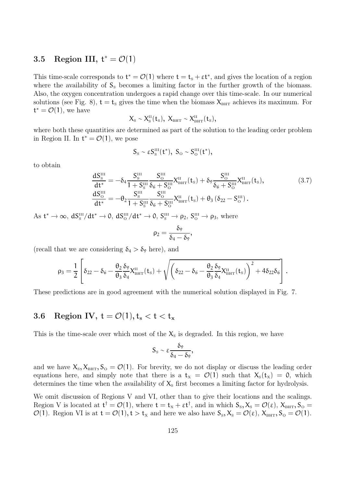## 3.5 Region III,  $t^* = \mathcal{O}(1)$

This time-scale corresponds to  $t^* = \mathcal{O}(1)$  where  $t = t_s + \varepsilon t^*$ , and gives the location of a region where the availability of  $S_s$  becomes a limiting factor in the further growth of the biomass. Also, the oxygen concentration undergoes a rapid change over this time-scale. In our numerical solutions (see Fig. 8),  $t = t_s$  gives the time when the biomass  $X_{\text{BHT}}$  achieves its maximum. For  $t^* = \mathcal{O}(1)$ , we have

$$
X_{\scriptscriptstyle \rm S}\sim X_{\scriptscriptstyle \rm S}^{\scriptscriptstyle \rm II}(t_{\scriptscriptstyle \rm S}),\; X_{\scriptscriptstyle \rm BHT}\sim X_{\scriptscriptstyle \rm BHT}^{\scriptscriptstyle \rm II}(t_{\scriptscriptstyle \rm S}),\;
$$

where both these quantities are determined as part of the solution to the leading order problem in Region II. In  $t^* = \mathcal{O}(1)$ , we pose

$$
S_{\scriptscriptstyle \rm S}\sim \epsilon S_{\scriptscriptstyle \rm S}^{\scriptscriptstyle \rm III}(t^*),\; S_{\scriptscriptstyle \rm O}\sim S_{\scriptscriptstyle \rm O}^{\scriptscriptstyle \rm III}(t^*),\;
$$

to obtain

$$
\frac{dS_{\rm s}^{\rm III}}{dt^*} = -\delta_4 \frac{S_{\rm s}^{\rm III}}{1 + S_{\rm s}^{\rm III}} \frac{S_{\rm o}^{\rm III}}{\delta_6 + S_{\rm o}^{\rm III}} X_{\rm BHT}^{\rm II}(t_{\rm s}) + \delta_9 \frac{S_{\rm o}^{\rm III}}{\delta_6 + S_{\rm o}^{\rm III}} X_{\rm BHT}^{\rm II}(t_{\rm s}),\tag{3.7}
$$
\n
$$
\frac{dS_{\rm o}^{\rm III}}{dt^*} = -\theta_2 \frac{S_{\rm s}^{\rm III}}{1 + S_{\rm s}^{\rm III}} \frac{S_{\rm o}^{\rm III}}{\delta_6 + S_{\rm o}^{\rm III}} X_{\rm BHT}^{\rm II}(t_{\rm s}) + \theta_3 \left(\delta_{22} - S_{\rm o}^{\rm III}\right).
$$

As  $t^* \to \infty$ ,  $dS^{\text{III}}_{\text{s}}/dt^* \to 0$ ,  $dS^{\text{III}}_{\text{o}}/dt^* \to 0$ ,  $S^{\text{III}}_{\text{s}} \to \rho_2$ ,  $S^{\text{III}}_{\text{o}} \to \rho_3$ , where

$$
\rho_2=\frac{\delta_9}{\delta_4-\delta_9},
$$

(recall that we are considering  $\delta_4 > \delta_2$  here), and

$$
\rho_3 = \frac{1}{2}\left[\delta_{22} - \delta_6 - \frac{\theta_2}{\theta_3}\frac{\delta_9}{\delta_4}X^{\rm II}_{\rm BHT} (t_{\rm S}) + \sqrt{\left(\delta_{22} - \delta_6 - \frac{\theta_2}{\theta_3}\frac{\delta_9}{\delta_4}X^{\rm II}_{\rm BHT} (t_{\rm S})\right)^2 + 4\delta_{22}\delta_6}\right].
$$

These predictions are in good agreement with the numerical solution displayed in Fig. 7.

### 3.6 Region IV,  $t = \mathcal{O}(1)$ ,  $t_s < t < t_x$

This is the time-scale over which most of the  $X_s$  is degraded. In this region, we have

$$
S_{\rm s}\sim \epsilon \frac{\delta_9}{\delta_4-\delta_9},
$$

and we have  $X_s, X_{\text{BHT}}, S_{\text{O}} = \mathcal{O}(1)$ . For brevity, we do not display or discuss the leading order equations here, and simply note that there is a  $t_x = \mathcal{O}(1)$  such that  $X_s(t_x) = 0$ , which determines the time when the availability of  $X_s$  first becomes a limiting factor for hydrolysis.

We omit discussion of Regions V and VI, other than to give their locations and the scalings. Region V is located at  $t^{\dagger} = \mathcal{O}(1)$ , where  $t = t_x + \varepsilon t^{\dagger}$ , and in which  $S_s$ ,  $X_s = \mathcal{O}(\varepsilon)$ ,  $X_{\text{BHT}}$ ,  $S_{\text{O}} =$  $\mathcal{O}(1)$ . Region VI is at  $t = \mathcal{O}(1)$ ,  $t > t_x$  and here we also have  $S_s$ ,  $X_s = \mathcal{O}(\epsilon)$ ,  $X_{\text{BHT}}$ ,  $S_o = \mathcal{O}(1)$ .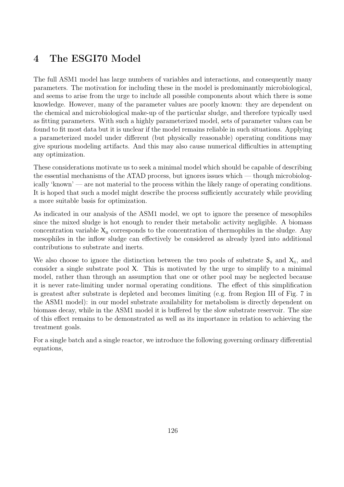## 4 The ESGI70 Model

The full ASM1 model has large numbers of variables and interactions, and consequently many parameters. The motivation for including these in the model is predominantly microbiological, and seems to arise from the urge to include all possible components about which there is some knowledge. However, many of the parameter values are poorly known: they are dependent on the chemical and microbiological make-up of the particular sludge, and therefore typically used as fitting parameters. With such a highly parameterized model, sets of parameter values can be found to fit most data but it is unclear if the model remains reliable in such situations. Applying a parameterized model under different (but physically reasonable) operating conditions may give spurious modeling artifacts. And this may also cause numerical difficulties in attempting any optimization.

These considerations motivate us to seek a minimal model which should be capable of describing the essential mechanisms of the ATAD process, but ignores issues which — though microbiologically 'known' — are not material to the process within the likely range of operating conditions. It is hoped that such a model might describe the process sufficiently accurately while providing a more suitable basis for optimization.

As indicated in our analysis of the ASM1 model, we opt to ignore the presence of mesophiles since the mixed sludge is hot enough to render their metabolic activity negligible. A biomass concentration variable  $X_B$  corresponds to the concentration of thermophiles in the sludge. Any mesophiles in the inflow sludge can effectively be considered as already lyzed into additional contributions to substrate and inerts.

We also choose to ignore the distinction between the two pools of substrate  $S_s$  and  $X_s$ , and consider a single substrate pool X. This is motivated by the urge to simplify to a minimal model, rather than through an assumption that one or other pool may be neglected because it is never rate-limiting under normal operating conditions. The effect of this simplification is greatest after substrate is depleted and becomes limiting (e.g. from Region III of Fig. 7 in the ASM1 model): in our model substrate availability for metabolism is directly dependent on biomass decay, while in the ASM1 model it is buffered by the slow substrate reservoir. The size of this effect remains to be demonstrated as well as its importance in relation to achieving the treatment goals.

For a single batch and a single reactor, we introduce the following governing ordinary differential equations,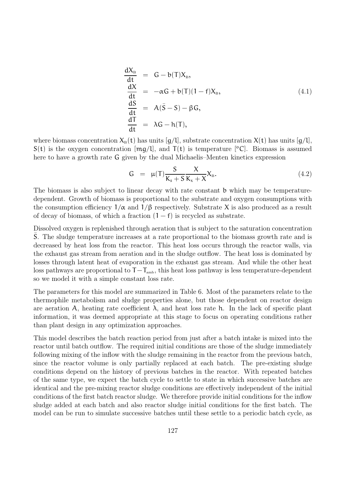$$
\frac{dX_{\rm B}}{dt} = G - b(T)X_{\rm B},
$$
\n
$$
\frac{dX}{dt} = -\alpha G + b(T)(1 - f)X_{\rm B},
$$
\n
$$
\frac{dS}{dt} = A(\bar{S} - S) - \beta G,
$$
\n
$$
\frac{dT}{dt} = \lambda G - h(T),
$$
\n(4.1)

where biomass concentration  $X_B(t)$  has units  $[g/l]$ , substrate concentration  $X(t)$  has units  $[g/l]$ ,  $S(t)$  is the oxygen concentration  $[mg/l]$ , and  $T(t)$  is temperature [°C]. Biomass is assumed here to have a growth rate G given by the dual Michaelis–Menten kinetics expression

$$
G = \mu(T) \frac{S}{K_s + S} \frac{X}{K_x + X} X_B.
$$
\n
$$
(4.2)
$$

The biomass is also subject to linear decay with rate constant b which may be temperaturedependent. Growth of biomass is proportional to the substrate and oxygen consumptions with the consumption efficiency  $1/\alpha$  and  $1/\beta$  respectively. Substrate X is also produced as a result of decay of biomass, of which a fraction  $(1 - f)$  is recycled as substrate.

Dissolved oxygen is replenished through aeration that is subject to the saturation concentration S. The sludge temperature increases at a rate proportional to the biomass growth rate and is decreased by heat loss from the reactor. This heat loss occurs through the reactor walls, via the exhaust gas stream from aeration and in the sludge outflow. The heat loss is dominated by losses through latent heat of evaporation in the exhaust gas stream. And while the other heat loss pathways are proportional to  $T - T_{amb}$ , this heat loss pathway is less temperature-dependent so we model it with a simple constant loss rate.

The parameters for this model are summarized in Table 6. Most of the parameters relate to the thermophile metabolism and sludge properties alone, but those dependent on reactor design are aeration A, heating rate coefficient  $\lambda$ , and heat loss rate h. In the lack of specific plant information, it was deemed appropriate at this stage to focus on operating conditions rather than plant design in any optimization approaches.

This model describes the batch reaction period from just after a batch intake is mixed into the reactor until batch outflow. The required initial conditions are those of the sludge immediately following mixing of the inflow with the sludge remaining in the reactor from the previous batch, since the reactor volume is only partially replaced at each batch. The pre-existing sludge conditions depend on the history of previous batches in the reactor. With repeated batches of the same type, we expect the batch cycle to settle to state in which successive batches are identical and the pre-mixing reactor sludge conditions are effectively independent of the initial conditions of the first batch reactor sludge. We therefore provide initial conditions for the inflow sludge added at each batch and also reactor sludge initial conditions for the first batch. The model can be run to simulate successive batches until these settle to a periodic batch cycle, as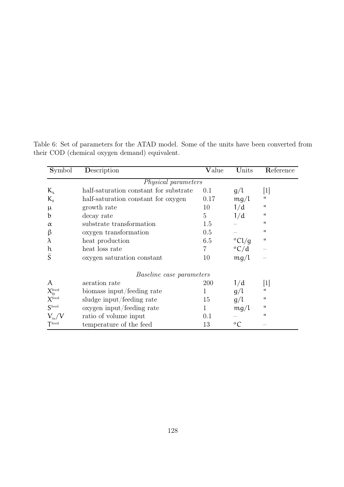| Symbol                                 | Description                            | Value | Units                     | Reference         |  |  |  |
|----------------------------------------|----------------------------------------|-------|---------------------------|-------------------|--|--|--|
| Physical parameters                    |                                        |       |                           |                   |  |  |  |
| $K_{\chi}$                             | half-saturation constant for substrate | 0.1   | g/l                       | 1                 |  |  |  |
| $K_{s}$                                | half-saturation constant for oxygen    | 0.17  | mg/l                      | $\mathbf{H}$      |  |  |  |
| $\mu$                                  | growth rate                            | 10    | 1/d                       | $\mathbf{H}$      |  |  |  |
| b                                      | decay rate                             | 5     | 1/d                       | $\mathbf{H}$      |  |  |  |
| $\alpha$                               | substrate transformation               | 1.5   |                           | $^{\prime\prime}$ |  |  |  |
| β                                      | oxygen transformation                  | 0.5   |                           | $^{\prime\prime}$ |  |  |  |
| $\lambda$                              | heat production                        | 6.5   | $\rm ^{o}Cl/g$            | $\mathbf{H}$      |  |  |  |
| h                                      | heat loss rate                         | 7     | $\mathrm{^oC}/\mathrm{d}$ |                   |  |  |  |
| $\overline{S}$                         | oxygen saturation constant             | 10    | mg/l                      |                   |  |  |  |
| <i>Baseline case parameters</i>        |                                        |       |                           |                   |  |  |  |
| A                                      | aeration rate                          | 200   | 1/d                       | 1                 |  |  |  |
| $X_{\textrm{\tiny R}}^{\textrm{feed}}$ | biomass input/feeding rate             | 1     | g/l                       | $\blacksquare$    |  |  |  |
| $X^{\rm feed}$                         | sludge input/feeding rate              | 15    | g/l                       | $\blacksquare$    |  |  |  |
| Sfeed                                  | oxygen input/feeding rate              | 1     | mg/l                      | п                 |  |  |  |
| $V_{\rm in}/V$                         | ratio of volume input                  | 0.1   |                           | $\mathbf{H}$      |  |  |  |
| $\mathsf{T}^{\text{feed}}$             | temperature of the feed                | 13    | $\rm ^{o}C$               |                   |  |  |  |

Table 6: Set of parameters for the ATAD model. Some of the units have been converted from their COD (chemical oxygen demand) equivalent.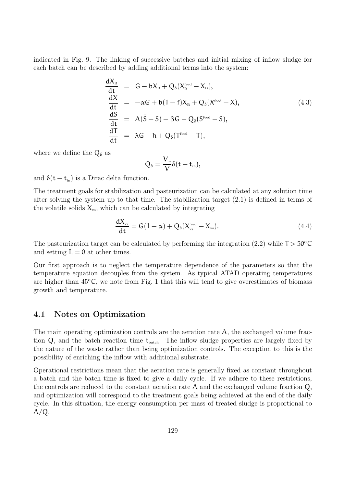indicated in Fig. 9. The linking of successive batches and initial mixing of inflow sludge for each batch can be described by adding additional terms into the system:

$$
\begin{array}{rcl}\n\frac{dX_{\rm B}}{dt} & = & G - bX_{\rm B} + Q_{\delta}(X_{\rm B}^{\rm feed} - X_{\rm B}), \\
\frac{dX}{dt} & = & -\alpha G + b(1 - f)X_{\rm B} + Q_{\delta}(X^{\rm feed} - X), \\
\frac{dS}{dt} & = & A(\bar{S} - S) - \beta G + Q_{\delta}(S^{\rm feed} - S), \\
\frac{d\bar{T}}{dt} & = & \lambda G - h + Q_{\delta}(T^{\rm feed} - T),\n\end{array} \tag{4.3}
$$

where we define the  $Q_{\delta}$  as

$$
Q_\delta=\frac{V_{\rm in}}{V}\delta(t-t_{\rm in}),
$$

and  $\delta(t - t_{\rm in})$  is a Dirac delta function.

The treatment goals for stabilization and pasteurization can be calculated at any solution time after solving the system up to that time. The stabilization target (2.1) is defined in terms of the volatile solids  $X_{vs}$ , which can be calculated by integrating

$$
\frac{dX_{\rm vs}}{dt} = G(1 - \alpha) + Q_{\delta}(X_{\rm vs}^{\rm feed} - X_{\rm vs}).
$$
\n(4.4)

The pasteurization target can be calculated by performing the integration (2.2) while  $T > 50^{\circ}$ C and setting  $L = 0$  at other times.

Our first approach is to neglect the temperature dependence of the parameters so that the temperature equation decouples from the system. As typical ATAD operating temperatures are higher than  $45^{\circ}$ C, we note from Fig. 1 that this will tend to give overestimates of biomass growth and temperature.

### 4.1 Notes on Optimization

The main operating optimization controls are the aeration rate A, the exchanged volume fraction  $Q$ , and the batch reaction time  $t_{batch}$ . The inflow sludge properties are largely fixed by the nature of the waste rather than being optimization controls. The exception to this is the possibility of enriching the inflow with additional substrate.

Operational restrictions mean that the aeration rate is generally fixed as constant throughout a batch and the batch time is fixed to give a daily cycle. If we adhere to these restrictions, the controls are reduced to the constant aeration rate A and the exchanged volume fraction Q, and optimization will correspond to the treatment goals being achieved at the end of the daily cycle. In this situation, the energy consumption per mass of treated sludge is proportional to  $A/Q$ .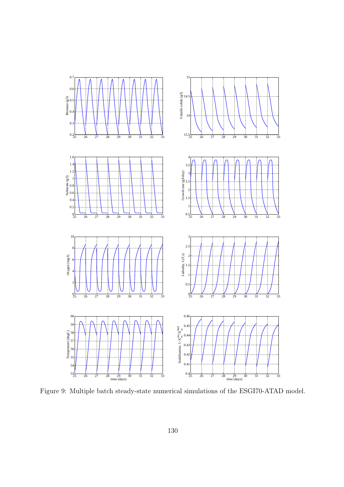

Figure 9: Multiple batch steady-state numerical simulations of the ESGI70-ATAD model.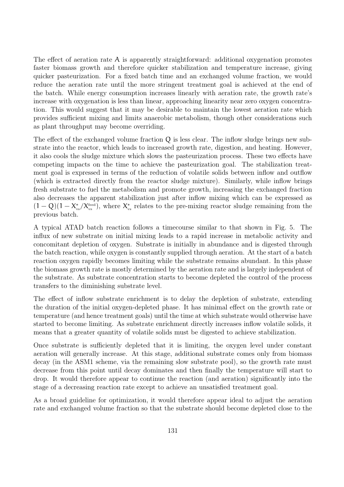The effect of aeration rate  $A$  is apparently straightforward: additional oxygenation promotes faster biomass growth and therefore quicker stabilization and temperature increase, giving quicker pasteurization. For a fixed batch time and an exchanged volume fraction, we would reduce the aeration rate until the more stringent treatment goal is achieved at the end of the batch. While energy consumption increases linearly with aeration rate, the growth rate's increase with oxygenation is less than linear, approaching linearity near zero oxygen concentration. This would suggest that it may be desirable to maintain the lowest aeration rate which provides sufficient mixing and limits anaerobic metabolism, though other considerations such as plant throughput may become overriding.

The effect of the exchanged volume fraction Q is less clear. The inflow sludge brings new substrate into the reactor, which leads to increased growth rate, digestion, and heating. However, it also cools the sludge mixture which slows the pasteurization process. These two effects have competing impacts on the time to achieve the pasteurization goal. The stabilization treatment goal is expressed in terms of the reduction of volatile solids between inflow and outflow (which is extracted directly from the reactor sludge mixture). Similarly, while inflow brings fresh substrate to fuel the metabolism and promote growth, increasing the exchanged fraction also decreases the apparent stabilization just after inflow mixing which can be expressed as  $(1-Q)(1-X_{\rm vs}^*/X_{\rm vs}^*),$  where  $X_{\rm vs}^*$  relates to the pre-mixing reactor sludge remaining from the previous batch.

A typical ATAD batch reaction follows a timecourse similar to that shown in Fig. 5. The influx of new substrate on initial mixing leads to a rapid increase in metabolic activity and concomitant depletion of oxygen. Substrate is initially in abundance and is digested through the batch reaction, while oxygen is constantly supplied through aeration. At the start of a batch reaction oxygen rapidly becomes limiting while the substrate remains abundant. In this phase the biomass growth rate is mostly determined by the aeration rate and is largely independent of the substrate. As substrate concentration starts to become depleted the control of the process transfers to the diminishing substrate level.

The effect of inflow substrate enrichment is to delay the depletion of substrate, extending the duration of the initial oxygen-depleted phase. It has minimal effect on the growth rate or temperature (and hence treatment goals) until the time at which substrate would otherwise have started to become limiting. As substrate enrichment directly increases inflow volatile solids, it means that a greater quantity of volatile solids must be digested to achieve stabilization.

Once substrate is sufficiently depleted that it is limiting, the oxygen level under constant aeration will generally increase. At this stage, additional substrate comes only from biomass decay (in the ASM1 scheme, via the remaining slow substrate pool), so the growth rate must decrease from this point until decay dominates and then finally the temperature will start to drop. It would therefore appear to continue the reaction (and aeration) significantly into the stage of a decreasing reaction rate except to achieve an unsatisfied treatment goal.

As a broad guideline for optimization, it would therefore appear ideal to adjust the aeration rate and exchanged volume fraction so that the substrate should become depleted close to the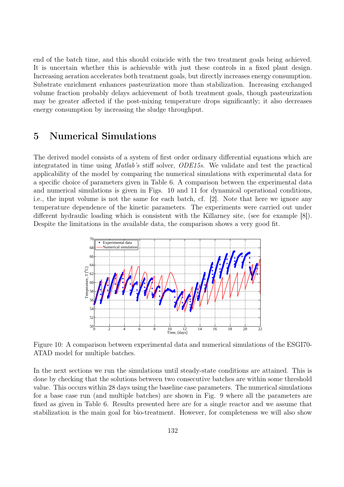end of the batch time, and this should coincide with the two treatment goals being achieved. It is uncertain whether this is achievable with just these controls in a fixed plant design. Increasing aeration accelerates both treatment goals, but directly increases energy consumption. Substrate enrichment enhances pasteurization more than stabilization. Increasing exchanged volume fraction probably delays achievement of both treatment goals, though pasteurization may be greater affected if the post-mixing temperature drops significantly; it also decreases energy consumption by increasing the sludge throughput.

### 5 Numerical Simulations

The derived model consists of a system of first order ordinary differential equations which are integratated in time using Matlab's stiff solver, ODE15s. We validate and test the practical applicability of the model by comparing the numerical simulations with experimental data for a specific choice of parameters given in Table 6. A comparison between the experimental data and numerical simulations is given in Figs. 10 and 11 for dynamical operational conditions, i.e., the input volume is not the same for each batch, cf. [2]. Note that here we ignore any temperature dependence of the kinetic parameters. The experiments were carried out under different hydraulic loading which is consistent with the Killarney site, (see for example [8]). Despite the limitations in the available data, the comparison shows a very good fit.



Figure 10: A comparison between experimental data and numerical simulations of the ESGI70- ATAD model for multiple batches.

In the next sections we run the simulations until steady-state conditions are attained. This is done by checking that the solutions between two consecutive batches are within some threshold value. This occurs within 28 days using the baseline case parameters. The numerical simulations for a base case run (and multiple batches) are shown in Fig. 9 where all the parameters are fixed as given in Table 6. Results presented here are for a single reactor and we assume that stabilization is the main goal for bio-treatment. However, for completeness we will also show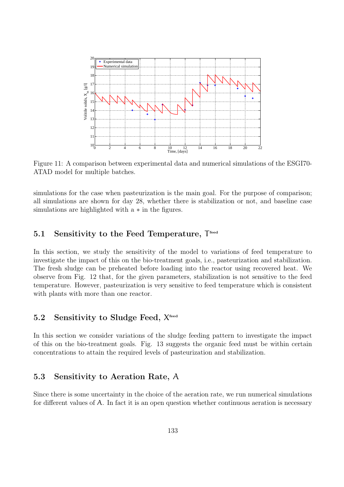

Figure 11: A comparison between experimental data and numerical simulations of the ESGI70- ATAD model for multiple batches.

simulations for the case when pasteurization is the main goal. For the purpose of comparison; all simulations are shown for day 28, whether there is stabilization or not, and baseline case simulations are highlighted with a ∗ in the figures.

### 5.1 Sensitivity to the Feed Temperature, T feed

In this section, we study the sensitivity of the model to variations of feed temperature to investigate the impact of this on the bio-treatment goals, i.e., pasteurization and stabilization. The fresh sludge can be preheated before loading into the reactor using recovered heat. We observe from Fig. 12 that, for the given parameters, stabilization is not sensitive to the feed temperature. However, pasteurization is very sensitive to feed temperature which is consistent with plants with more than one reactor.

### 5.2 Sensitivity to Sludge Feed, X<sup>feed</sup>

In this section we consider variations of the sludge feeding pattern to investigate the impact of this on the bio-treatment goals. Fig. 13 suggests the organic feed must be within certain concentrations to attain the required levels of pasteurization and stabilization.

### 5.3 Sensitivity to Aeration Rate, A

Since there is some uncertainty in the choice of the aeration rate, we run numerical simulations for different values of A. In fact it is an open question whether continuous aeration is necessary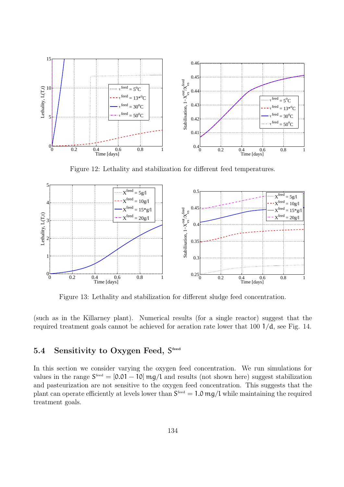

Figure 12: Lethality and stabilization for different feed temperatures.



Figure 13: Lethality and stabilization for different sludge feed concentration.

(such as in the Killarney plant). Numerical results (for a single reactor) suggest that the required treatment goals cannot be achieved for aeration rate lower that 100 1/d, see Fig. 14.

### 5.4 Sensitivity to Oxygen Feed, S feed

In this section we consider varying the oxygen feed concentration. We run simulations for values in the range  $S<sup>feed</sup> = [0.01 - 10]$  mg/l and results (not shown here) suggest stabilization and pasteurization are not sensitive to the oxygen feed concentration. This suggests that the plant can operate efficiently at levels lower than  $S^{feed} = 1.0$  mg/l while maintaining the required treatment goals.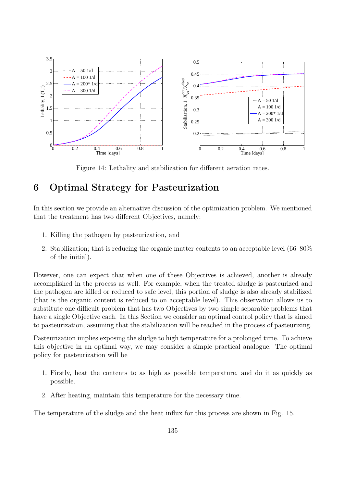

Figure 14: Lethality and stabilization for different aeration rates.

## 6 Optimal Strategy for Pasteurization

In this section we provide an alternative discussion of the optimization problem. We mentioned that the treatment has two different Objectives, namely:

- 1. Killing the pathogen by pasteurization, and
- 2. Stabilization; that is reducing the organic matter contents to an acceptable level (66–80% of the initial).

However, one can expect that when one of these Objectives is achieved, another is already accomplished in the process as well. For example, when the treated sludge is pasteurized and the pathogen are killed or reduced to safe level, this portion of sludge is also already stabilized (that is the organic content is reduced to on acceptable level). This observation allows us to substitute one difficult problem that has two Objectives by two simple separable problems that have a single Objective each. In this Section we consider an optimal control policy that is aimed to pasteurization, assuming that the stabilization will be reached in the process of pasteurizing.

Pasteurization implies exposing the sludge to high temperature for a prolonged time. To achieve this objective in an optimal way, we may consider a simple practical analogue. The optimal policy for pasteurization will be

- 1. Firstly, heat the contents to as high as possible temperature, and do it as quickly as possible.
- 2. After heating, maintain this temperature for the necessary time.

The temperature of the sludge and the heat influx for this process are shown in Fig. 15.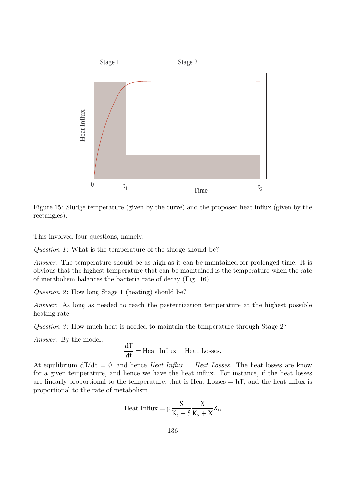

Figure 15: Sludge temperature (given by the curve) and the proposed heat influx (given by the rectangles).

This involved four questions, namely:

Question 1: What is the temperature of the sludge should be?

Answer: The temperature should be as high as it can be maintained for prolonged time. It is obvious that the highest temperature that can be maintained is the temperature when the rate of metabolism balances the bacteria rate of decay (Fig. 16)

Question 2: How long Stage 1 (heating) should be?

Answer: As long as needed to reach the pasteurization temperature at the highest possible heating rate

Question 3: How much heat is needed to maintain the temperature through Stage  $2$ ?

Answer: By the model,

$$
\frac{dT}{dt} = \text{Heat Influx} - \text{Heat Losses.}
$$

At equilibrium  $d\vec{\tau}/dt = 0$ , and hence *Heat Influx = Heat Losses*. The heat losses are know for a given temperature, and hence we have the heat influx. For instance, if the heat losses are linearly proportional to the temperature, that is Heat Losses  $= hT$ , and the heat influx is proportional to the rate of metabolism,

$$
\mathrm{Heat~Influx} = \mu \frac{S}{K_s + S} \frac{X}{K_x + X} X_\mathrm{B}
$$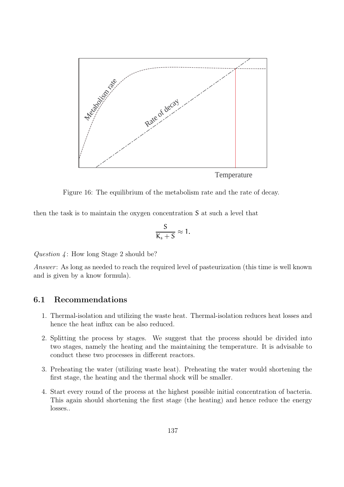

Figure 16: The equilibrium of the metabolism rate and the rate of decay.

then the task is to maintain the oxygen concentration S at such a level that

$$
\frac{S}{K_s+S}\approx 1.
$$

Question  $\lambda$ : How long Stage 2 should be?

Answer: As long as needed to reach the required level of pasteurization (this time is well known and is given by a know formula).

### 6.1 Recommendations

- 1. Thermal-isolation and utilizing the waste heat. Thermal-isolation reduces heat losses and hence the heat influx can be also reduced.
- 2. Splitting the process by stages. We suggest that the process should be divided into two stages, namely the heating and the maintaining the temperature. It is advisable to conduct these two processes in different reactors.
- 3. Preheating the water (utilizing waste heat). Preheating the water would shortening the first stage, the heating and the thermal shock will be smaller.
- 4. Start every round of the process at the highest possible initial concentration of bacteria. This again should shortening the first stage (the heating) and hence reduce the energy losses..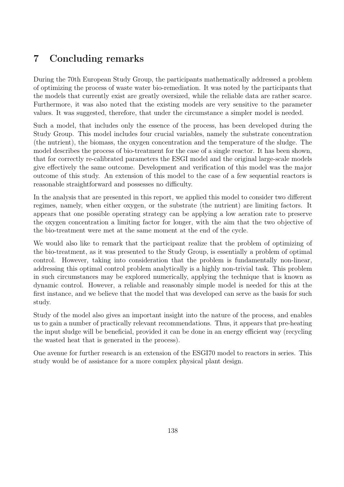## 7 Concluding remarks

During the 70th European Study Group, the participants mathematically addressed a problem of optimizing the process of waste water bio-remediation. It was noted by the participants that the models that currently exist are greatly oversized, while the reliable data are rather scarce. Furthermore, it was also noted that the existing models are very sensitive to the parameter values. It was suggested, therefore, that under the circumstance a simpler model is needed.

Such a model, that includes only the essence of the process, has been developed during the Study Group. This model includes four crucial variables, namely the substrate concentration (the nutrient), the biomass, the oxygen concentration and the temperature of the sludge. The model describes the process of bio-treatment for the case of a single reactor. It has been shown, that for correctly re-calibrated parameters the ESGI model and the original large-scale models give effectively the same outcome. Development and verification of this model was the major outcome of this study. An extension of this model to the case of a few sequential reactors is reasonable straightforward and possesses no difficulty.

In the analysis that are presented in this report, we applied this model to consider two different regimes, namely, when either oxygen, or the substrate (the nutrient) are limiting factors. It appears that one possible operating strategy can be applying a low aeration rate to preserve the oxygen concentration a limiting factor for longer, with the aim that the two objective of the bio-treatment were met at the same moment at the end of the cycle.

We would also like to remark that the participant realize that the problem of optimizing of the bio-treatment, as it was presented to the Study Group, is essentially a problem of optimal control. However, taking into consideration that the problem is fundamentally non-linear, addressing this optimal control problem analytically is a highly non-trivial task. This problem in such circumstances may be explored numerically, applying the technique that is known as dynamic control. However, a reliable and reasonably simple model is needed for this at the first instance, and we believe that the model that was developed can serve as the basis for such study.

Study of the model also gives an important insight into the nature of the process, and enables us to gain a number of practically relevant recommendations. Thus, it appears that pre-heating the input sludge will be beneficial, provided it can be done in an energy efficient way (recycling the wasted heat that is generated in the process).

One avenue for further research is an extension of the ESGI70 model to reactors in series. This study would be of assistance for a more complex physical plant design.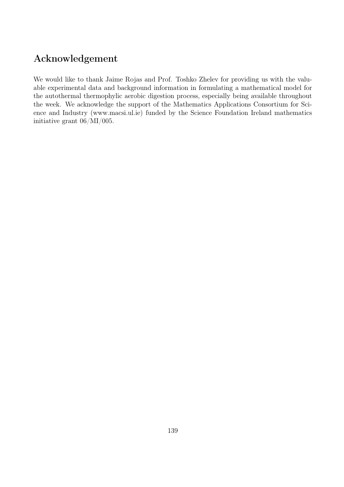## Acknowledgement

We would like to thank Jaime Rojas and Prof. Toshko Zhelev for providing us with the valuable experimental data and background information in formulating a mathematical model for the autothermal thermophylic aerobic digestion process, especially being available throughout the week. We acknowledge the support of the Mathematics Applications Consortium for Science and Industry (www.macsi.ul.ie) funded by the Science Foundation Ireland mathematics initiative grant 06/MI/005.